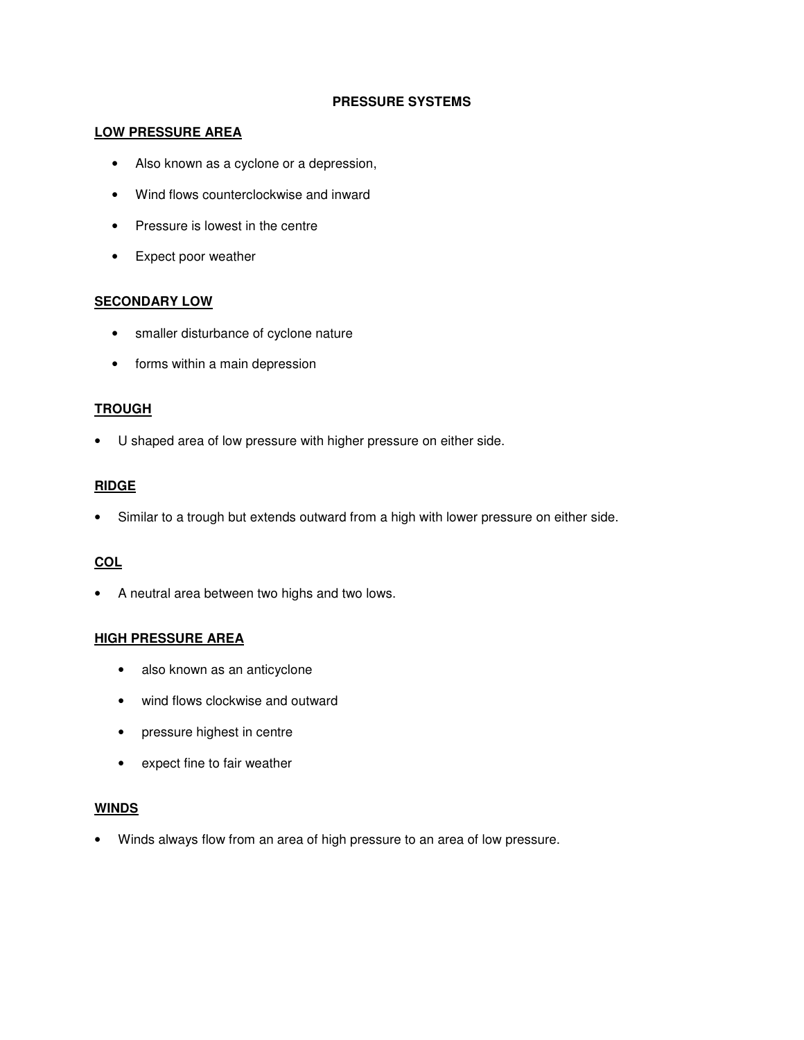## **PRESSURE SYSTEMS**

#### **LOW PRESSURE AREA**

- Also known as a cyclone or a depression,
- Wind flows counterclockwise and inward
- Pressure is lowest in the centre
- Expect poor weather

## **SECONDARY LOW**

- smaller disturbance of cyclone nature
- forms within a main depression

### **TROUGH**

• U shaped area of low pressure with higher pressure on either side.

### **RIDGE**

• Similar to a trough but extends outward from a high with lower pressure on either side.

## **COL**

• A neutral area between two highs and two lows.

## **HIGH PRESSURE AREA**

- also known as an anticyclone
- wind flows clockwise and outward
- pressure highest in centre
- expect fine to fair weather

#### **WINDS**

• Winds always flow from an area of high pressure to an area of low pressure.